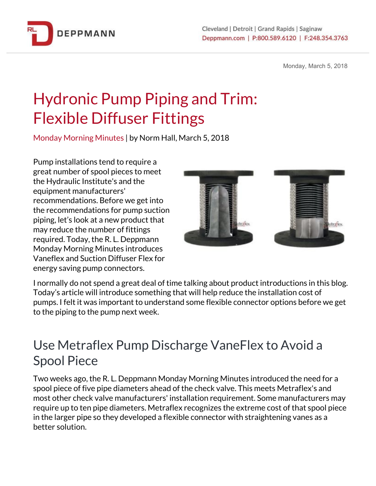

Monday, March 5, 2018

## Hydronic Pump Piping and Trim: Flexible Diffuser Fittings

Monday Morning Minutes | by Norm Hall, March 5, 2018

Pump installations tend to require a great number of spool pieces to meet the Hydraulic Institute's and the equipment manufacturers' recommendations. Before we get into the recommendations for pump suction piping, let's look at a new product that may reduce the number of fittings required. Today, the R. L. Deppmann Monday Morning Minutes introduces Vaneflex and Suction Diffuser Flex for energy saving pump connectors.



I normally do not spend a great deal of time talking about product introductions in this blog. Today's article will introduce something that will help reduce the installation cost of pumps. I felt it was important to understand some flexible connector options before we get to the piping to the pump next week.

## Use Metraflex Pump Discharge VaneFlex to Avoid a Spool Piece

Two weeks ago, the R. L. Deppmann Monday Morning Minutes introduced the need for a spool piece of five pipe diameters ahead of the check valve. This meets Metraflex's and most other check valve manufacturers' installation requirement. Some manufacturers may require up to ten pipe diameters. Metraflex recognizes the extreme cost of that spool piece in the larger pipe so they developed a flexible connector with straightening vanes as a better solution.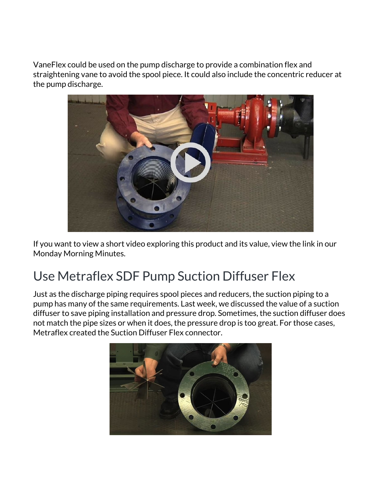VaneFlex could be used on the pump discharge to provide a combination flex and straightening vane to avoid the spool piece. It could also include the concentric reducer at the pump discharge.



If you want to view a short video exploring this product and its value, view the link in our Monday Morning Minutes.

## Use Metraflex SDF Pump Suction Diffuser Flex

Just as the discharge piping requires spool pieces and reducers, the suction piping to a pump has many of the same requirements. Last week, we discussed the value of a suction diffuser to save piping installation and pressure drop. Sometimes, the suction diffuser does not match the pipe sizes or when it does, the pressure drop is too great. For those cases, Metraflex created the Suction Diffuser Flex connector.